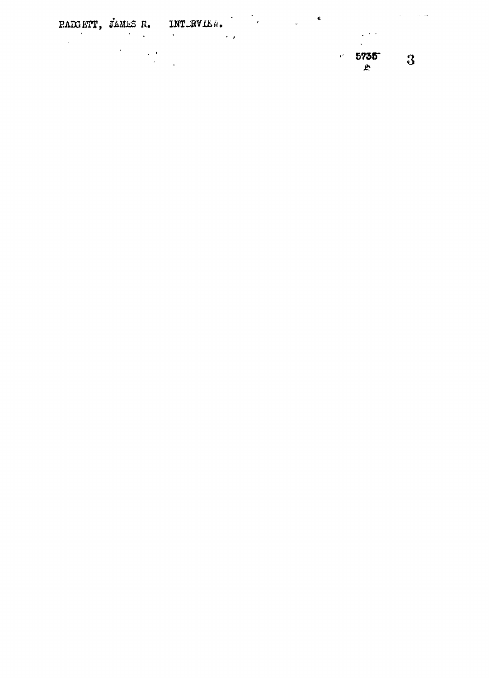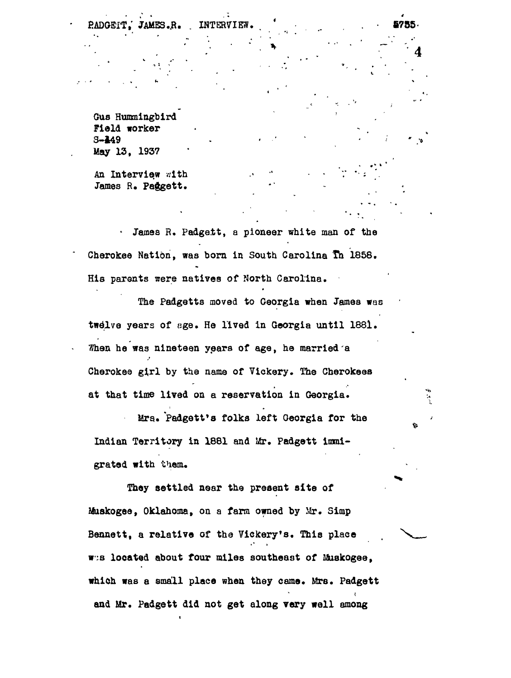**Gus Hummingbird Field worker 3-449 May 13, 1937**

**JAMES .JR. . INTERVIEW. \* • , . • 6785**

**An Interview with James H« Paggett.**

James R. Padgett, a pioneer white man of the **Cherokee Nation, was born in South Carolina Ih 1858. His parents sere natives of North Carolina.**

**The Padgetts moved to Georgia when James was twelve years of age. He lived in Georgia until 1881. Whan he was nineteen years of age, he married a Cherokee girl by the name of Yickery. The Cberokees at that time lived on a reservation in Georgia.**

**Mrs.. Padgett\*8 folks left Georgia for the Indian Territory in 1881 and Mr. Padgett immigrated with them.**

**They settled near the present site of Mtiskogee, Oklahoma, on a farm owned by Mr. Simp Bennett, a relative of the Vickery's. This place w;s located about four miles southeast of Muakogee, which was a small place when they came. Mrs. Padgett and Mr. Padgett did not get along very well among**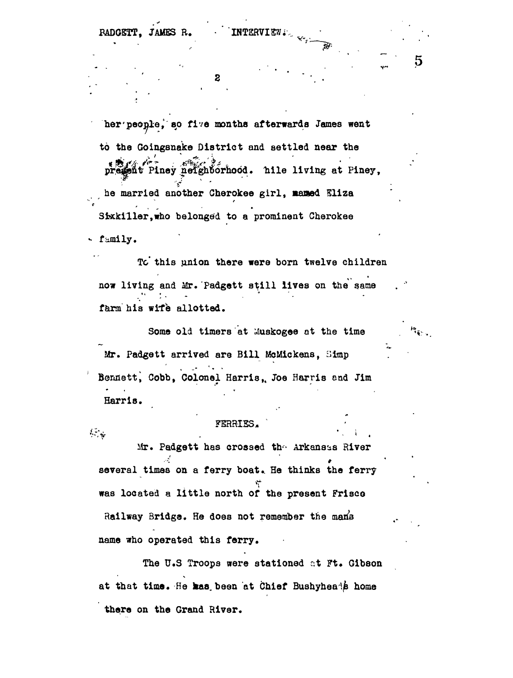RADGETT, JAMES R. INTERVIEW.

2

**her'people, 80 five months afterwards James went to the Goingsnake District and settled near the**  $\mathbb{C}^{\infty}_{\mathbb{C}}$  , where  $\mathbb{C}^{\infty}_{\mathbb{C}}$  ,  $\mathbb{C}^{\infty}_{\mathbb{C}}$  ,  $\mathbb{C}^{\infty}_{\mathbb{C}}$  ,  $\mathbb{C}^{\infty}_{\mathbb{C}}$ **Ptney .neighborhood. liile living at Piney, V ' ' be married another Cherokee girl, Baaed Eliza** Sixkiller, who belonged to a prominent Cherokee

**family.**

 $\mathcal{F}(\mathcal{F})$ 

To this union there were born twelve children now living and Mr. Padgett still lives on the same **farm his wife allotted.**

Some old timers at *Muskogee* at the time **Mr. Padgett arrived are Bill McMickens, Simp Bennett! Cobb, Colonel Harris,, Joe Harris and Jim Harris.**

# FERRIES.

 $Mr.$  Padgett has crossed the Arkansas River •-•v # several times on a ferry boat. He thinks the ferry **several times on a ferry boat.. He thinks the ferry** Railway Bridge. He does not remember the mans **Railway Bridge. He does not remember the oW s** name who operated this ferry.

The U.S Troops were stationed at Ft. Gibson **The U.S Troops were stationed r.t Ft\* Gibson** at that time. He kas been at Chief Bushyheads home **at that time. He kas, been at Chief Bushyheai/s home** there on the Grand River.

**name who operated this ferry\***

**there on the Grand River.**

 $\overline{5}$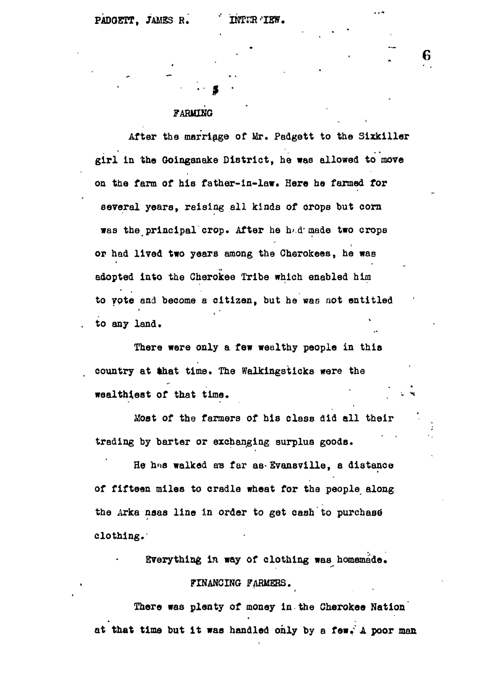# **FARMING**

 $\mathbb{P}$ 

**After the marriage of Mr. Padgett to the Sixkiller girl in the Ooinganake District, he was allowed to move on the farm of his father-in-law. Here he farmed for several years, raising all kinds of orops but corn wss the principal crop. After he h>.d\* made two crops or had lived two years among the Cherokees, he was adopted into the Cherokee Tribe which enabled him to ypte and become a citizen, but he was not entitled to any land.**

**There were only a few wealthy people in this** country at that time. The Walkingsticks were the **wealthiest of that time.** 

**itost of the farmers of his class did all their trading by barter or exchanging surplus goods.**

**He hns walked ens far as-EvansviHe, a distance of fifteen miles to cradle wheat for the people along** the Arka nsas line in order to get cash to purchase **clothing.**

**Everything in way of clothing was homemade.**

### **FINANCING FARMERS.**

**There was plenty of money in the Cherokee Nation at that time but it was handled only by a few. A poor man**

**• 76**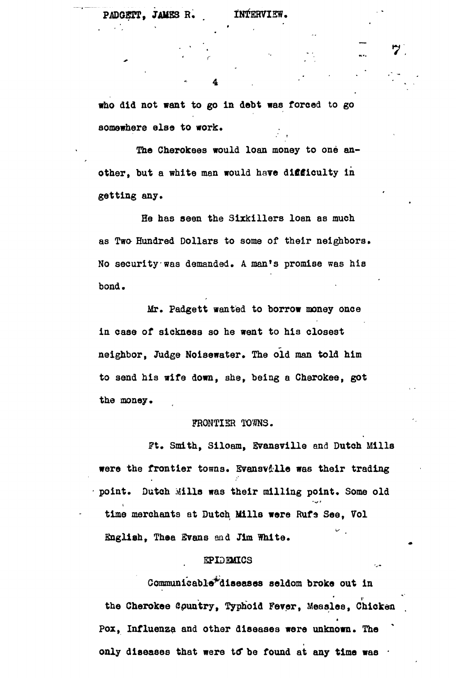**who did not want to go In debt was forced to go somewhere else to work.**

The Cherokees would loan money to one an**other, but a white man would have difficulty in getting any.**

**Be has seen the Sixkillers loan as much as Two Hundred Dollars to some of their neighbors. No security was demanded. A man<sup>f</sup>s promise was his bond.**

**Mr. Padgett wanted to borrow money once in case of sickness so he went to his closest neighbor, Judge Noisewater. The old man told him to send his wife down, she, being a Cherokee, got** the money.

# **FRONTIER TOMS .**

**Ft. Smith, Siloam, Evansville and Dutch Mills were the frontier towns. Svansv&lle was their trading point. Dutch Mills was their milling point. Some old** 'v \* **time merchants at Dutch Mills were Rufa See, Vol English, Thea Svans and Jim White.**

#### **EPIDEMICS**

**Communieable\*diaeases seldom broke out in** the Cherokee Country, Typhoid Fever, Measles, Chicken **Pox, Influenza and other diseases were unknown. The** only diseases that were to be found at any time was  $\cdot$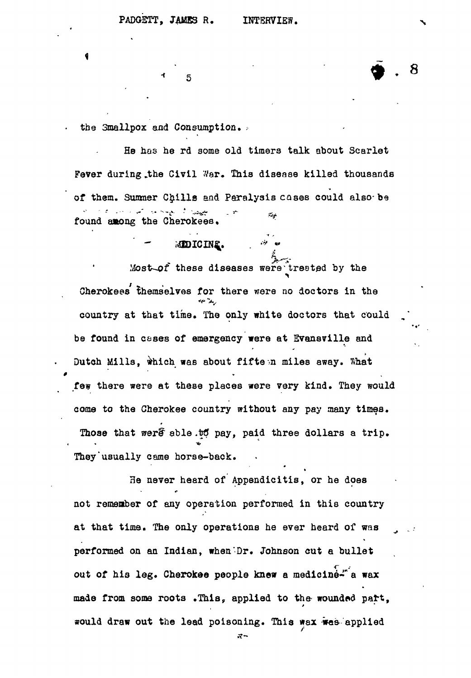$\overline{5}$ 

MIDICINE.

•\* -

8

the Smallpox and Consumption.

He has he rd some old timers talk about Scarlet Fever during the Civil War. This disease killed thousands of them. Summer Chills and Paralysis cases could also-be the same of the contract of the contract of the contract of the contract of the contract of the contract of the r.<br>Fra found among the Cherokees.

Most-of these diseases were treated by the Cherokees themselves for there were no doctors in the country at that time. The only white doctors that could be found in cases of emergency were at Evansville and Dutch Mills, which was about fifteen miles away. What few there were at these places were very kind. They would coma to the Cherokee country without any pay many times. Those that were able to pay, paid three dollars a trip. < • •\*• They usually came horse-back.

He never heard of Appendicitis, or he does not remeaber of any operation performed in this country at that time. The only operations he ever heard of was ^ performed on an Indian, when Dr. Johnson cut a bullet out of his leg. Cherokee people knew a medicine-" a wax made from some roots .This, applied to the wounded part, would draw out the lead poisoning. This wax was applied

æ-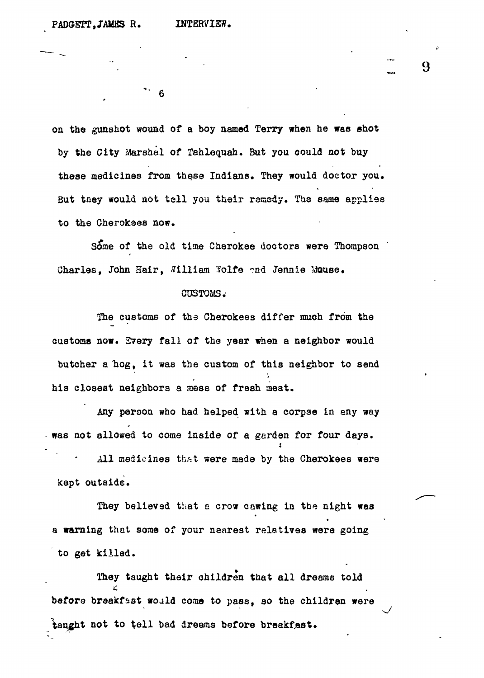$6 \,$ 

on the gunshot wound of a boy named Terry when he was shot by the City Marshal of Tahlequah. But you could not buy these medicines from these Indians, They would doctor you. But tney would not tall you their remedy. The same applies to the Cherokees now.

**I 9**

Some of the old time Cherokee doctors were Thompson Charles, John Hair, William Wolfe and Jennie Mouse.

#### CUSTO&S.-

The customs of the Cherokees differ much from the customs now. S7ery fall of ths year when a neighbor would butcher a hog, it was the custom of this neighbor to send his closest neighbors a mess of fresh meat.

Any person who had helped with a corpse in any way . was not allowed to come inside of a garden for four days.

was not allowed to come inside of a garden for four days. The four days inside of a garden for  $\mathcal{A}$ 

 $\mathcal{A}$ l medicines three three three three three three three three three three three three three three three three three three three three three three three three three three three three three three three three three thr

They believed that experiments in the night was the night was the night was the night was the night was the night was a warning that some of your nearest relatives were going to get killed.

They taught their children that all dreams told  $\ddot{ }$ before breakfast would come to pass, so the children were before breakfast would come to pass, so the children were to pass, so the children were to pass, so the childre taught not to toll bad dreams before breakfast.<br>Dreams before breakfast.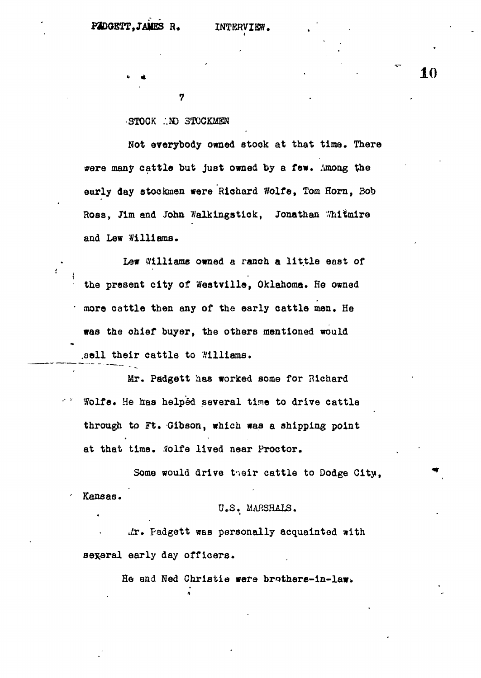### STOCK .ND STOCKMEN

7

**Not everybody owned 8took at that time. There were many cattle but just owned by a few. Among the early day stockmen were Richard Wolfe, Tom Horn, Bob** Ross, Jim and John Walkingstick, Jonathan Whitmire **and Lew Williams.**

**Lew Williams owned a ranch a little east of the present city of Westvilla, Oklahoma. He owned more cattle then any of the early cattle men. He was the chief buyer, the others mentioned would .sell their cattle to Williams.**

**Mr. Padgett has worked some for Richard Wolfe. He has helped several tine to drive cattle through to Ft. Gibson, which was a shipping point at that time. Solfe lived near Proctor.**

**Some would drive tneir cattle to Dodge City, Kansas.**

# **U.S. MARSHALS.**

**Jx. Padgett was personally acquainted with several early day officers.**

A •

He and Ned Christie were brothers-in-law.

**10**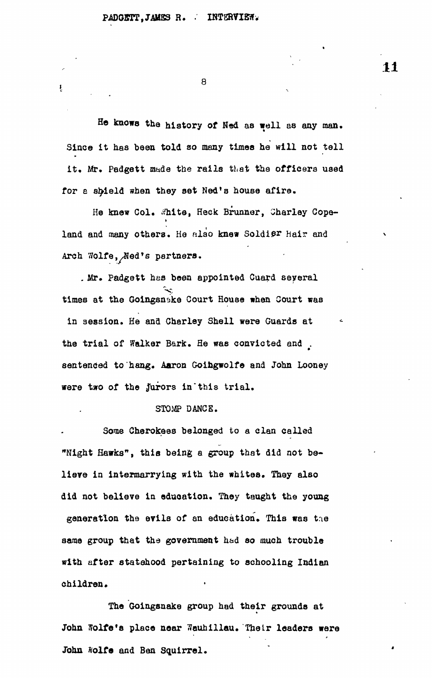ŧ

8

He knows the history of Nad as well as any man. Since it has been told so many times he will not tell it. Mr. Padgett made the rails that the officers used for a shield when they set Ned's house afire.

He knew Col. White, Heck Brunner, Charley Copeland and many others. He also knew Soldier Hair and land and many others. He nlao knew Soldier Hair and

Arch Wolfe,x^ed's partners. . Mr. Padgett has been appointed Cuard seyeral . Mr. Padgett has been approximately define  $\mathcal{L}_{\mathcal{L}}$ times at the Goingsnske Court House when Court was in session. He and Charley Shell were Guards at the trial of Walker Bark. He was convicted and the trial of Walker Bark. He was convicted and . sentenced to hang. Aaron Goingwolfe and John Looney were two of the jurors in this trial.

# STOMP DANCE.

Some Cherokees belonged to a clan called Some Cherokees belonged to a clan called "Night Hawks", this being a group that did not believe in intermarrying with the whites. They also did not believe in education. They taught the young generation the evils of an education. This was the same group that the government had so much trouble with after statehood pertaining to schooling Indian children.

The Goingsnake group had their grounds at John Wolfe's place near 3auhillau. Their leaders were John Wolfe and Ben Squirrel. John ftolfe and Ben Squirrel.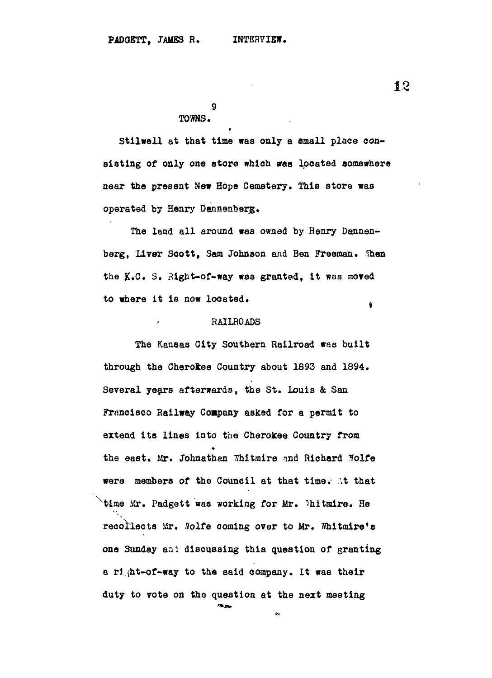**9**

### **TOWHS.**

Stilwell at that time was only a small place con**sisting of only one store which was located somewhere sear the present New Hope Cemetery. This store was operated by Henry Dennenberg.**

**The land all around was owned by Henry Dannen**berg, Liver Scott, Sam Johnson and Ben Freeman. Then **the #.C. 3. Right-of-way was granted, it was moved to where it is now located.** ۱

## **RAILROADS**

**The Kansas City Southern Railroad was built through the Cherokee Country about 1893 and 1894. Several years afterwards, the St. Louis &. San Francisco Railway Company asked for a permit to extend its lines into the Cherokee Country from the east, Mr. Johnathan Thitmire -md Richard 3olfe were members of the Council at that time. At that <sup>x</sup>time Mr. Padgett was working for Mr. 'hitmire. He recollects Mr. Solte coming over to Mr. Whitmire^s one Sunday an} discussing this question of granting a rl (ht-of-way to the said company. It was their duty to vote on the question at the nezt meeting**

42